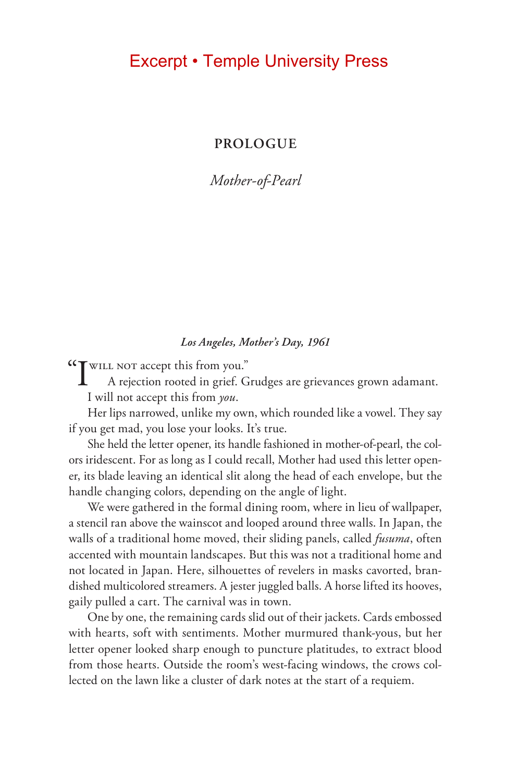### Excerpt • Temple University Press

**PROLOGUE**

*Mother-of-Pearl*

#### *Los Angeles, Mother's Day, 1961*

"I will not accept this from you."

A rejection rooted in grief. Grudges are grievances grown adamant. I will not accept this from *you*.

Her lips narrowed, unlike my own, which rounded like a vowel. They say if you get mad, you lose your looks. It's true.

She held the letter opener, its handle fashioned in mother-of-pearl, the colors iridescent. For as long as I could recall, Mother had used this letter opener, its blade leaving an identical slit along the head of each envelope, but the handle changing colors, depending on the angle of light.

We were gathered in the formal dining room, where in lieu of wallpaper, a stencil ran above the wainscot and looped around three walls. In Japan, the walls of a traditional home moved, their sliding panels, called *fusuma*, often accented with mountain landscapes. But this was not a traditional home and not located in Japan. Here, silhouettes of revelers in masks cavorted, brandished multicolored streamers. A jester juggled balls. A horse lifted its hooves, gaily pulled a cart. The carnival was in town.

One by one, the remaining cards slid out of their jackets. Cards embossed with hearts, soft with sentiments. Mother murmured thank-yous, but her letter opener looked sharp enough to puncture platitudes, to extract blood from those hearts. Outside the room's west-facing windows, the crows collected on the lawn like a cluster of dark notes at the start of a requiem.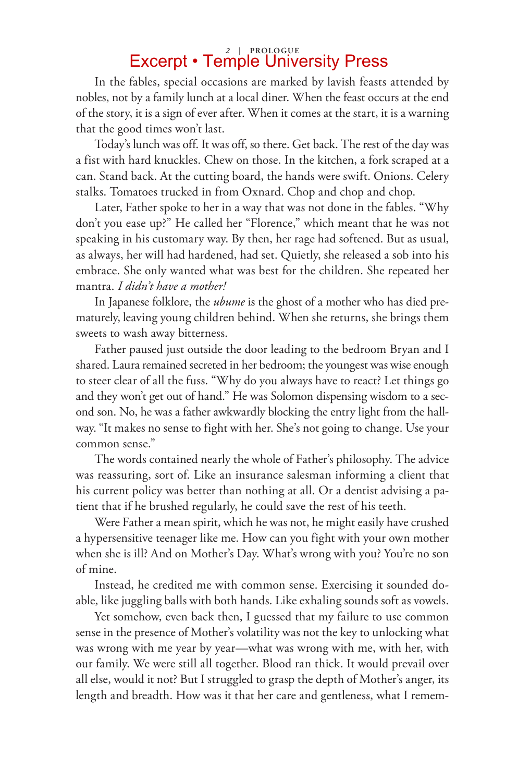# *2* **| Prologue** Excerpt • Temple University Press

In the fables, special occasions are marked by lavish feasts attended by nobles, not by a family lunch at a local diner. When the feast occurs at the end of the story, it is a sign of ever after. When it comes at the start, it is a warning that the good times won't last.

Today's lunch was off. It was off, so there. Get back. The rest of the day was a fist with hard knuckles. Chew on those. In the kitchen, a fork scraped at a can. Stand back. At the cutting board, the hands were swift. Onions. Celery stalks. Tomatoes trucked in from Oxnard. Chop and chop and chop.

Later, Father spoke to her in a way that was not done in the fables. "Why don't you ease up?" He called her "Florence," which meant that he was not speaking in his customary way. By then, her rage had softened. But as usual, as always, her will had hardened, had set. Quietly, she released a sob into his embrace. She only wanted what was best for the children. She repeated her mantra. *I didn't have a mother!*

In Japanese folklore, the *ubume* is the ghost of a mother who has died prematurely, leaving young children behind. When she returns, she brings them sweets to wash away bitterness.

Father paused just outside the door leading to the bedroom Bryan and I shared. Laura remained secreted in her bedroom; the youngest was wise enough to steer clear of all the fuss. "Why do you always have to react? Let things go and they won't get out of hand." He was Solomon dispensing wisdom to a second son. No, he was a father awkwardly blocking the entry light from the hallway. "It makes no sense to fight with her. She's not going to change. Use your common sense."

The words contained nearly the whole of Father's philosophy. The advice was reassuring, sort of. Like an insurance salesman informing a client that his current policy was better than nothing at all. Or a dentist advising a patient that if he brushed regularly, he could save the rest of his teeth.

Were Father a mean spirit, which he was not, he might easily have crushed a hypersensitive teenager like me. How can you fight with your own mother when she is ill? And on Mother's Day. What's wrong with you? You're no son of mine.

Instead, he credited me with common sense. Exercising it sounded doable, like juggling balls with both hands. Like exhaling sounds soft as vowels.

Yet somehow, even back then, I guessed that my failure to use common sense in the presence of Mother's volatility was not the key to unlocking what was wrong with me year by year—what was wrong with me, with her, with our family. We were still all together. Blood ran thick. It would prevail over all else, would it not? But I struggled to grasp the depth of Mother's anger, its length and breadth. How was it that her care and gentleness, what I remem-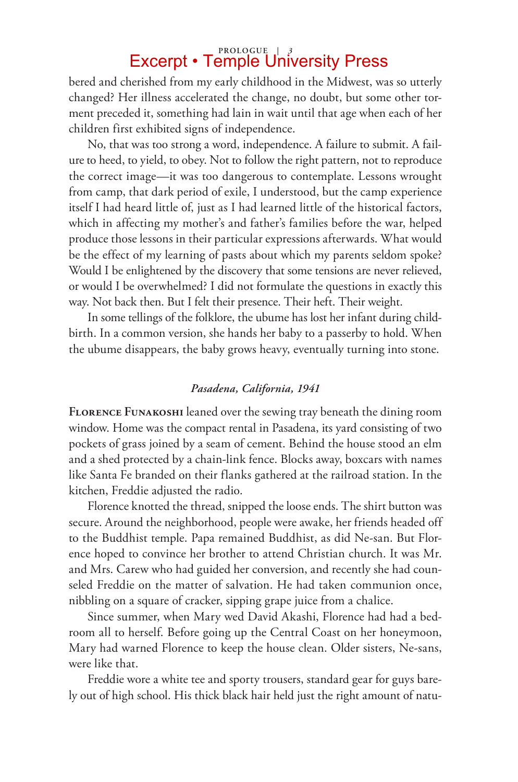## **Prologue |** *3* Excerpt • Temple University Press

bered and cherished from my early childhood in the Midwest, was so utterly changed? Her illness accelerated the change, no doubt, but some other torment preceded it, something had lain in wait until that age when each of her children first exhibited signs of independence.

No, that was too strong a word, independence. A failure to submit. A failure to heed, to yield, to obey. Not to follow the right pattern, not to reproduce the correct image—it was too dangerous to contemplate. Lessons wrought from camp, that dark period of exile, I understood, but the camp experience itself I had heard little of, just as I had learned little of the historical factors, which in affecting my mother's and father's families before the war, helped produce those lessons in their particular expressions afterwards. What would be the effect of my learning of pasts about which my parents seldom spoke? Would I be enlightened by the discovery that some tensions are never relieved, or would I be overwhelmed? I did not formulate the questions in exactly this way. Not back then. But I felt their presence. Their heft. Their weight.

In some tellings of the folklore, the ubume has lost her infant during childbirth. In a common version, she hands her baby to a passerby to hold. When the ubume disappears, the baby grows heavy, eventually turning into stone.

#### *Pasadena, California, 1941*

**Florence Funakoshi** leaned over the sewing tray beneath the dining room window. Home was the compact rental in Pasadena, its yard consisting of two pockets of grass joined by a seam of cement. Behind the house stood an elm and a shed protected by a chain-link fence. Blocks away, boxcars with names like Santa Fe branded on their flanks gathered at the railroad station. In the kitchen, Freddie adjusted the radio.

Florence knotted the thread, snipped the loose ends. The shirt button was secure. Around the neighborhood, people were awake, her friends headed off to the Buddhist temple. Papa remained Buddhist, as did Ne-san. But Florence hoped to convince her brother to attend Christian church. It was Mr. and Mrs. Carew who had guided her conversion, and recently she had counseled Freddie on the matter of salvation. He had taken communion once, nibbling on a square of cracker, sipping grape juice from a chalice.

Since summer, when Mary wed David Akashi, Florence had had a bedroom all to herself. Before going up the Central Coast on her honeymoon, Mary had warned Florence to keep the house clean. Older sisters, Ne-sans, were like that.

Freddie wore a white tee and sporty trousers, standard gear for guys barely out of high school. His thick black hair held just the right amount of natu-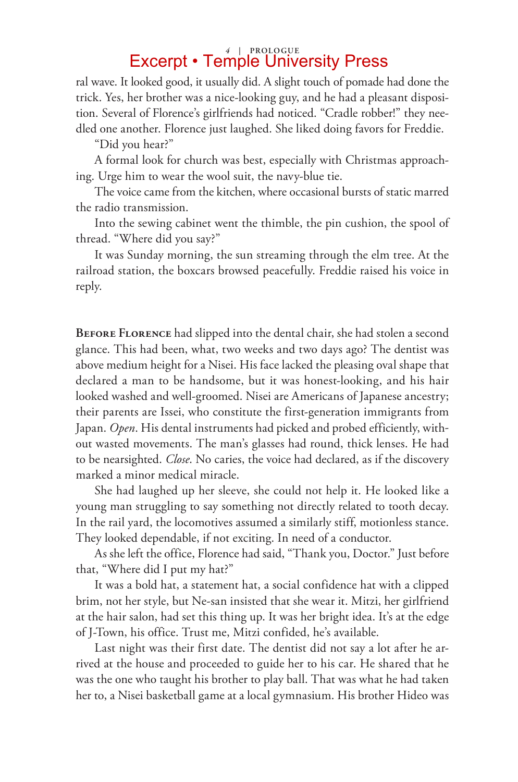## *4* **| Prologue** Excerpt • Temple University Press

ral wave. It looked good, it usually did. A slight touch of pomade had done the trick. Yes, her brother was a nice-looking guy, and he had a pleasant disposition. Several of Florence's girlfriends had noticed. "Cradle robber!" they needled one another. Florence just laughed. She liked doing favors for Freddie.

"Did you hear?"

A formal look for church was best, especially with Christmas approaching. Urge him to wear the wool suit, the navy-blue tie.

The voice came from the kitchen, where occasional bursts of static marred the radio transmission.

Into the sewing cabinet went the thimble, the pin cushion, the spool of thread. "Where did you say?"

It was Sunday morning, the sun streaming through the elm tree. At the railroad station, the boxcars browsed peacefully. Freddie raised his voice in reply.

**Before Florence** had slipped into the dental chair, she had stolen a second glance. This had been, what, two weeks and two days ago? The dentist was above medium height for a Nisei. His face lacked the pleasing oval shape that declared a man to be handsome, but it was honest-looking, and his hair looked washed and well-groomed. Nisei are Americans of Japanese ancestry; their parents are Issei, who constitute the first-generation immigrants from Japan. *Open*. His dental instruments had picked and probed efficiently, without wasted movements. The man's glasses had round, thick lenses. He had to be nearsighted. *Close*. No caries, the voice had declared, as if the discovery marked a minor medical miracle.

She had laughed up her sleeve, she could not help it. He looked like a young man struggling to say something not directly related to tooth decay. In the rail yard, the locomotives assumed a similarly stiff, motionless stance. They looked dependable, if not exciting. In need of a conductor.

As she left the office, Florence had said, "Thank you, Doctor." Just before that, "Where did I put my hat?"

It was a bold hat, a statement hat, a social confidence hat with a clipped brim, not her style, but Ne-san insisted that she wear it. Mitzi, her girlfriend at the hair salon, had set this thing up. It was her bright idea. It's at the edge of J-Town, his office. Trust me, Mitzi confided, he's available.

Last night was their first date. The dentist did not say a lot after he arrived at the house and proceeded to guide her to his car. He shared that he was the one who taught his brother to play ball. That was what he had taken her to, a Nisei basketball game at a local gymnasium. His brother Hideo was